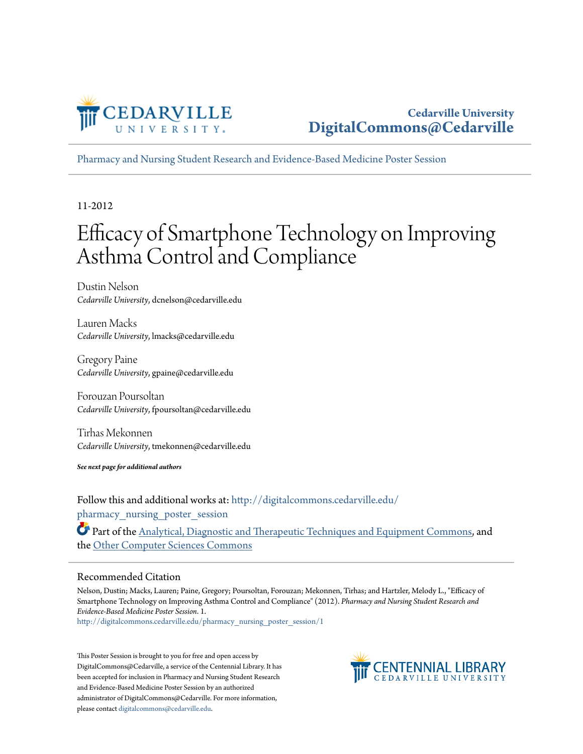

[Pharmacy and Nursing Student Research and Evidence-Based Medicine Poster Session](http://digitalcommons.cedarville.edu/pharmacy_nursing_poster_session?utm_source=digitalcommons.cedarville.edu%2Fpharmacy_nursing_poster_session%2F1&utm_medium=PDF&utm_campaign=PDFCoverPages)

11-2012

#### Efficacy of Smartphone Technology on Improving Asthma Control and Compliance

Dustin Nelson *Cedarville University*, dcnelson@cedarville.edu

Lauren Macks *Cedarville University*, lmacks@cedarville.edu

Gregory Paine *Cedarville University*, gpaine@cedarville.edu

Forouzan Poursoltan *Cedarville University*, fpoursoltan@cedarville.edu

Tirhas Mekonnen *Cedarville University*, tmekonnen@cedarville.edu

*See next page for additional authors*

Follow this and additional works at: [http://digitalcommons.cedarville.edu/](http://digitalcommons.cedarville.edu/pharmacy_nursing_poster_session?utm_source=digitalcommons.cedarville.edu%2Fpharmacy_nursing_poster_session%2F1&utm_medium=PDF&utm_campaign=PDFCoverPages) pharmacy nursing poster session

Part of the [Analytical, Diagnostic and Therapeutic Techniques and Equipment Commons,](http://network.bepress.com/hgg/discipline/899?utm_source=digitalcommons.cedarville.edu%2Fpharmacy_nursing_poster_session%2F1&utm_medium=PDF&utm_campaign=PDFCoverPages) and the [Other Computer Sciences Commons](http://network.bepress.com/hgg/discipline/152?utm_source=digitalcommons.cedarville.edu%2Fpharmacy_nursing_poster_session%2F1&utm_medium=PDF&utm_campaign=PDFCoverPages)

#### Recommended Citation

Nelson, Dustin; Macks, Lauren; Paine, Gregory; Poursoltan, Forouzan; Mekonnen, Tirhas; and Hartzler, Melody L., "Efficacy of Smartphone Technology on Improving Asthma Control and Compliance" (2012). *Pharmacy and Nursing Student Research and Evidence-Based Medicine Poster Session*. 1.

[http://digitalcommons.cedarville.edu/pharmacy\\_nursing\\_poster\\_session/1](http://digitalcommons.cedarville.edu/pharmacy_nursing_poster_session/1?utm_source=digitalcommons.cedarville.edu%2Fpharmacy_nursing_poster_session%2F1&utm_medium=PDF&utm_campaign=PDFCoverPages)

This Poster Session is brought to you for free and open access by DigitalCommons@Cedarville, a service of the Centennial Library. It has been accepted for inclusion in Pharmacy and Nursing Student Research and Evidence-Based Medicine Poster Session by an authorized administrator of DigitalCommons@Cedarville. For more information, please contact [digitalcommons@cedarville.edu.](mailto:digitalcommons@cedarville.edu)

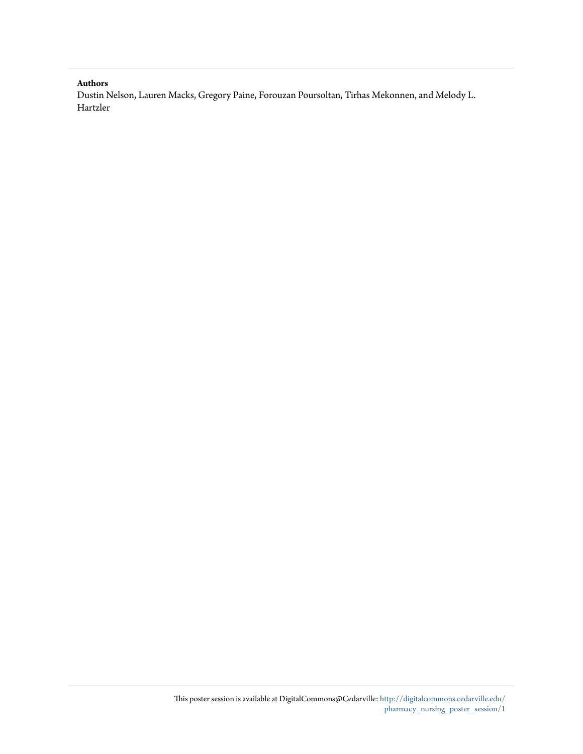#### **Authors**

Dustin Nelson, Lauren Macks, Gregory Paine, Forouzan Poursoltan, Tirhas Mekonnen, and Melody L. Hartzler